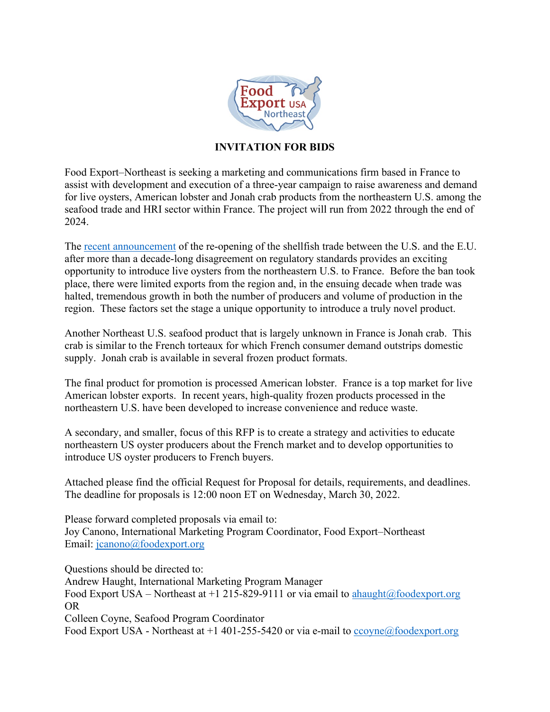

# **INVITATION FOR BIDS**

Food Export–Northeast is seeking a marketing and communications firm based in France to assist with development and execution of a three-year campaign to raise awareness and demand for live oysters, American lobster and Jonah crab products from the northeastern U.S. among the seafood trade and HRI sector within France. The project will run from 2022 through the end of 2024.

The [recent announcement](https://trade.ec.europa.eu/doclib/press/index.cfm?id=2359) of the re-opening of the shellfish trade between the U.S. and the E.U. after more than a decade-long disagreement on regulatory standards provides an exciting opportunity to introduce live oysters from the northeastern U.S. to France. Before the ban took place, there were limited exports from the region and, in the ensuing decade when trade was halted, tremendous growth in both the number of producers and volume of production in the region. These factors set the stage a unique opportunity to introduce a truly novel product.

Another Northeast U.S. seafood product that is largely unknown in France is Jonah crab. This crab is similar to the French torteaux for which French consumer demand outstrips domestic supply. Jonah crab is available in several frozen product formats.

The final product for promotion is processed American lobster. France is a top market for live American lobster exports. In recent years, high-quality frozen products processed in the northeastern U.S. have been developed to increase convenience and reduce waste.

A secondary, and smaller, focus of this RFP is to create a strategy and activities to educate northeastern US oyster producers about the French market and to develop opportunities to introduce US oyster producers to French buyers.

Attached please find the official Request for Proposal for details, requirements, and deadlines. The deadline for proposals is 12:00 noon ET on Wednesday, March 30, 2022.

Please forward completed proposals via email to: Joy Canono, International Marketing Program Coordinator, Food Export–Northeast Email: [jcanono@foodexport.org](mailto:jcanono@foodexport.org)

Questions should be directed to: Andrew Haught, International Marketing Program Manager Food Export USA – Northeast at  $+1$  215-829-9111 or via email to [ahaught@foodexport.org](mailto:ahaught@foodexport.org) OR Colleen Coyne, Seafood Program Coordinator Food Export USA - Northeast at  $+1$  401-255-5420 or via e-mail to [ccoyne@foodexport.org](mailto:ccoyne@foodexport.org)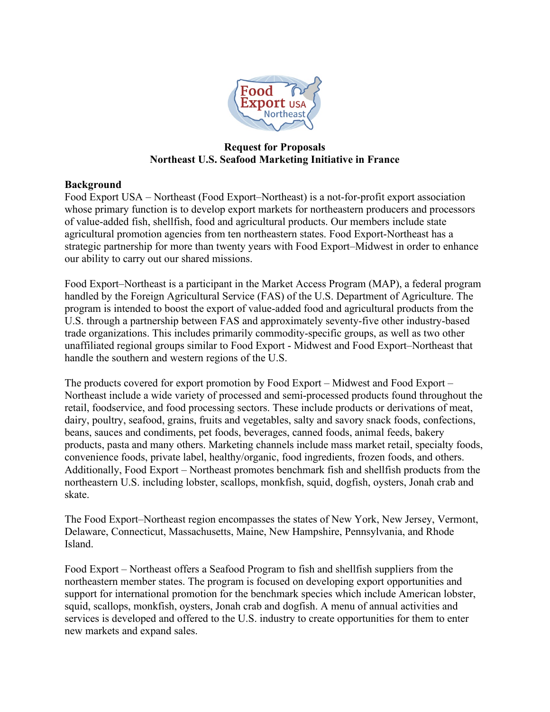

#### **Request for Proposals Northeast U.S. Seafood Marketing Initiative in France**

## **Background**

Food Export USA – Northeast (Food Export–Northeast) is a not-for-profit export association whose primary function is to develop export markets for northeastern producers and processors of value-added fish, shellfish, food and agricultural products. Our members include state agricultural promotion agencies from ten northeastern states. Food Export-Northeast has a strategic partnership for more than twenty years with Food Export–Midwest in order to enhance our ability to carry out our shared missions.

Food Export–Northeast is a participant in the Market Access Program (MAP), a federal program handled by the Foreign Agricultural Service (FAS) of the U.S. Department of Agriculture. The program is intended to boost the export of value-added food and agricultural products from the U.S. through a partnership between FAS and approximately seventy-five other industry-based trade organizations. This includes primarily commodity-specific groups, as well as two other unaffiliated regional groups similar to Food Export - Midwest and Food Export–Northeast that handle the southern and western regions of the U.S.

The products covered for export promotion by Food Export – Midwest and Food Export – Northeast include a wide variety of processed and semi-processed products found throughout the retail, foodservice, and food processing sectors. These include products or derivations of meat, dairy, poultry, seafood, grains, fruits and vegetables, salty and savory snack foods, confections, beans, sauces and condiments, pet foods, beverages, canned foods, animal feeds, bakery products, pasta and many others. Marketing channels include mass market retail, specialty foods, convenience foods, private label, healthy/organic, food ingredients, frozen foods, and others. Additionally, Food Export – Northeast promotes benchmark fish and shellfish products from the northeastern U.S. including lobster, scallops, monkfish, squid, dogfish, oysters, Jonah crab and skate.

The Food Export–Northeast region encompasses the states of New York, New Jersey, Vermont, Delaware, Connecticut, Massachusetts, Maine, New Hampshire, Pennsylvania, and Rhode Island.

Food Export – Northeast offers a Seafood Program to fish and shellfish suppliers from the northeastern member states. The program is focused on developing export opportunities and support for international promotion for the benchmark species which include American lobster, squid, scallops, monkfish, oysters, Jonah crab and dogfish. A menu of annual activities and services is developed and offered to the U.S. industry to create opportunities for them to enter new markets and expand sales.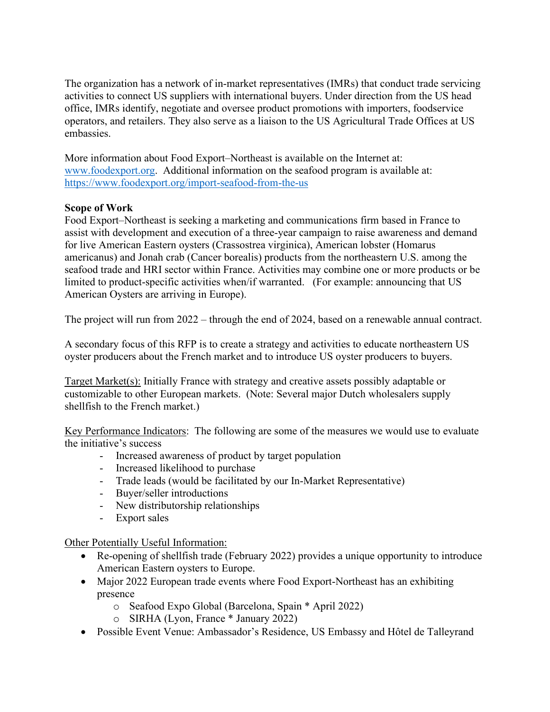The organization has a network of in-market representatives (IMRs) that conduct trade servicing activities to connect US suppliers with international buyers. Under direction from the US head office, IMRs identify, negotiate and oversee product promotions with importers, foodservice operators, and retailers. They also serve as a liaison to the US Agricultural Trade Offices at US embassies.

More information about Food Export–Northeast is available on the Internet at: www.foodexport.org. Additional information on the seafood program is available at: <https://www.foodexport.org/import-seafood-from-the-us>

# **Scope of Work**

Food Export–Northeast is seeking a marketing and communications firm based in France to assist with development and execution of a three-year campaign to raise awareness and demand for live American Eastern oysters (Crassostrea virginica), American lobster (Homarus americanus) and Jonah crab (Cancer borealis) products from the northeastern U.S. among the seafood trade and HRI sector within France. Activities may combine one or more products or be limited to product-specific activities when/if warranted. (For example: announcing that US American Oysters are arriving in Europe).

The project will run from 2022 – through the end of 2024, based on a renewable annual contract.

A secondary focus of this RFP is to create a strategy and activities to educate northeastern US oyster producers about the French market and to introduce US oyster producers to buyers.

Target Market(s): Initially France with strategy and creative assets possibly adaptable or customizable to other European markets. (Note: Several major Dutch wholesalers supply shellfish to the French market.)

Key Performance Indicators: The following are some of the measures we would use to evaluate the initiative's success

- Increased awareness of product by target population
- Increased likelihood to purchase
- Trade leads (would be facilitated by our In-Market Representative)
- Buyer/seller introductions
- New distributorship relationships
- Export sales

Other Potentially Useful Information:

- Re-opening of shellfish trade (February 2022) provides a unique opportunity to introduce American Eastern oysters to Europe.
- Major 2022 European trade events where Food Export-Northeast has an exhibiting presence
	- o Seafood Expo Global (Barcelona, Spain \* April 2022)
	- o SIRHA (Lyon, France \* January 2022)
- Possible Event Venue: Ambassador's Residence, US Embassy and Hôtel de Talleyrand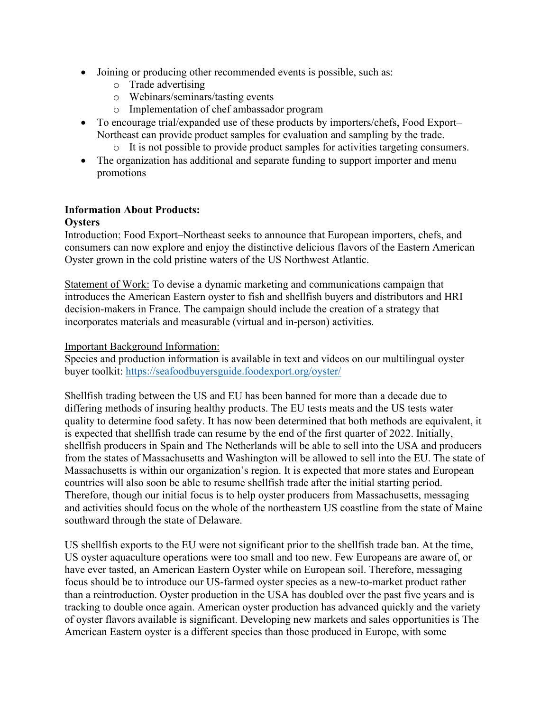- Joining or producing other recommended events is possible, such as:
	- o Trade advertising
	- o Webinars/seminars/tasting events
	- o Implementation of chef ambassador program
- To encourage trial/expanded use of these products by importers/chefs, Food Export– Northeast can provide product samples for evaluation and sampling by the trade.
	- o It is not possible to provide product samples for activities targeting consumers.
- The organization has additional and separate funding to support importer and menu promotions

## **Information About Products:**

#### **Oysters**

Introduction: Food Export–Northeast seeks to announce that European importers, chefs, and consumers can now explore and enjoy the distinctive delicious flavors of the Eastern American Oyster grown in the cold pristine waters of the US Northwest Atlantic.

Statement of Work: To devise a dynamic marketing and communications campaign that introduces the American Eastern oyster to fish and shellfish buyers and distributors and HRI decision-makers in France. The campaign should include the creation of a strategy that incorporates materials and measurable (virtual and in-person) activities.

#### Important Background Information:

Species and production information is available in text and videos on our multilingual oyster buyer toolkit:<https://seafoodbuyersguide.foodexport.org/oyster/>

Shellfish trading between the US and EU has been banned for more than a decade due to differing methods of insuring healthy products. The EU tests meats and the US tests water quality to determine food safety. It has now been determined that both methods are equivalent, it is expected that shellfish trade can resume by the end of the first quarter of 2022. Initially, shellfish producers in Spain and The Netherlands will be able to sell into the USA and producers from the states of Massachusetts and Washington will be allowed to sell into the EU. The state of Massachusetts is within our organization's region. It is expected that more states and European countries will also soon be able to resume shellfish trade after the initial starting period. Therefore, though our initial focus is to help oyster producers from Massachusetts, messaging and activities should focus on the whole of the northeastern US coastline from the state of Maine southward through the state of Delaware.

US shellfish exports to the EU were not significant prior to the shellfish trade ban. At the time, US oyster aquaculture operations were too small and too new. Few Europeans are aware of, or have ever tasted, an American Eastern Oyster while on European soil. Therefore, messaging focus should be to introduce our US-farmed oyster species as a new-to-market product rather than a reintroduction. Oyster production in the USA has doubled over the past five years and is tracking to double once again. American oyster production has advanced quickly and the variety of oyster flavors available is significant. Developing new markets and sales opportunities is The American Eastern oyster is a different species than those produced in Europe, with some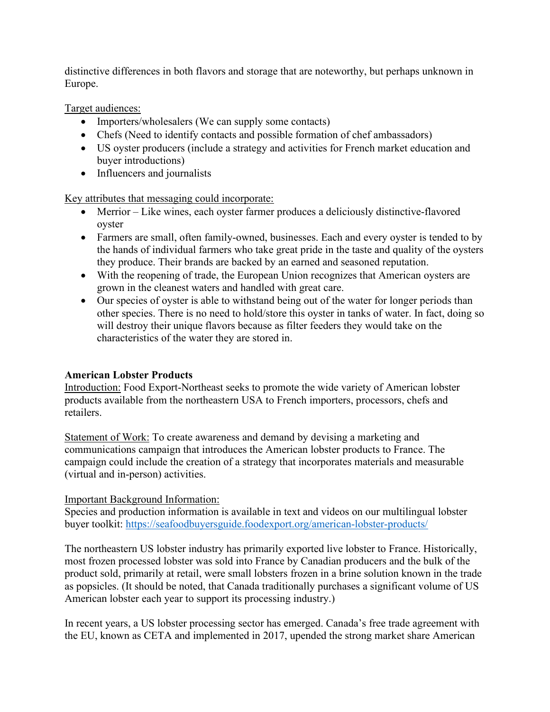distinctive differences in both flavors and storage that are noteworthy, but perhaps unknown in Europe.

Target audiences:

- Importers/wholesalers (We can supply some contacts)
- Chefs (Need to identify contacts and possible formation of chef ambassadors)
- US oyster producers (include a strategy and activities for French market education and buyer introductions)
- Influencers and journalists

Key attributes that messaging could incorporate:

- Merrior Like wines, each oyster farmer produces a deliciously distinctive-flavored oyster
- Farmers are small, often family-owned, businesses. Each and every oyster is tended to by the hands of individual farmers who take great pride in the taste and quality of the oysters they produce. Their brands are backed by an earned and seasoned reputation.
- With the reopening of trade, the European Union recognizes that American oysters are grown in the cleanest waters and handled with great care.
- Our species of oyster is able to withstand being out of the water for longer periods than other species. There is no need to hold/store this oyster in tanks of water. In fact, doing so will destroy their unique flavors because as filter feeders they would take on the characteristics of the water they are stored in.

## **American Lobster Products**

Introduction: Food Export-Northeast seeks to promote the wide variety of American lobster products available from the northeastern USA to French importers, processors, chefs and retailers.

Statement of Work: To create awareness and demand by devising a marketing and communications campaign that introduces the American lobster products to France. The campaign could include the creation of a strategy that incorporates materials and measurable (virtual and in-person) activities.

## Important Background Information:

Species and production information is available in text and videos on our multilingual lobster buyer toolkit:<https://seafoodbuyersguide.foodexport.org/american-lobster-products/>

The northeastern US lobster industry has primarily exported live lobster to France. Historically, most frozen processed lobster was sold into France by Canadian producers and the bulk of the product sold, primarily at retail, were small lobsters frozen in a brine solution known in the trade as popsicles. (It should be noted, that Canada traditionally purchases a significant volume of US American lobster each year to support its processing industry.)

In recent years, a US lobster processing sector has emerged. Canada's free trade agreement with the EU, known as CETA and implemented in 2017, upended the strong market share American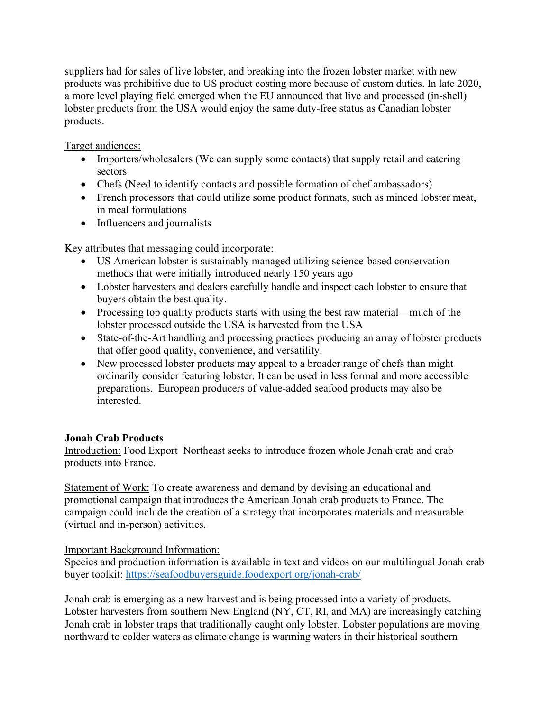suppliers had for sales of live lobster, and breaking into the frozen lobster market with new products was prohibitive due to US product costing more because of custom duties. In late 2020, a more level playing field emerged when the EU announced that live and processed (in-shell) lobster products from the USA would enjoy the same duty-free status as Canadian lobster products.

Target audiences:

- Importers/wholesalers (We can supply some contacts) that supply retail and catering sectors
- Chefs (Need to identify contacts and possible formation of chef ambassadors)
- French processors that could utilize some product formats, such as minced lobster meat, in meal formulations
- Influencers and journalists

Key attributes that messaging could incorporate:

- US American lobster is sustainably managed utilizing science-based conservation methods that were initially introduced nearly 150 years ago
- Lobster harvesters and dealers carefully handle and inspect each lobster to ensure that buyers obtain the best quality.
- Processing top quality products starts with using the best raw material much of the lobster processed outside the USA is harvested from the USA
- State-of-the-Art handling and processing practices producing an array of lobster products that offer good quality, convenience, and versatility.
- New processed lobster products may appeal to a broader range of chefs than might ordinarily consider featuring lobster. It can be used in less formal and more accessible preparations. European producers of value-added seafood products may also be interested.

# **Jonah Crab Products**

Introduction: Food Export–Northeast seeks to introduce frozen whole Jonah crab and crab products into France.

Statement of Work: To create awareness and demand by devising an educational and promotional campaign that introduces the American Jonah crab products to France. The campaign could include the creation of a strategy that incorporates materials and measurable (virtual and in-person) activities.

Important Background Information:

Species and production information is available in text and videos on our multilingual Jonah crab buyer toolkit:<https://seafoodbuyersguide.foodexport.org/jonah-crab/>

Jonah crab is emerging as a new harvest and is being processed into a variety of products. Lobster harvesters from southern New England (NY, CT, RI, and MA) are increasingly catching Jonah crab in lobster traps that traditionally caught only lobster. Lobster populations are moving northward to colder waters as climate change is warming waters in their historical southern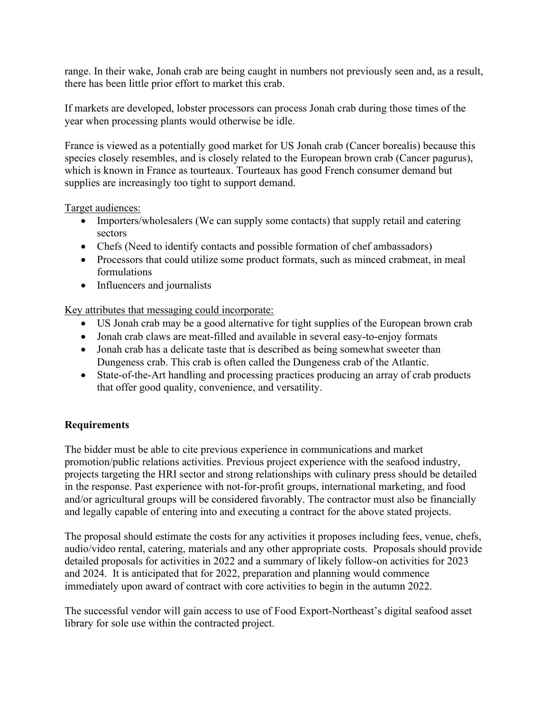range. In their wake, Jonah crab are being caught in numbers not previously seen and, as a result, there has been little prior effort to market this crab.

If markets are developed, lobster processors can process Jonah crab during those times of the year when processing plants would otherwise be idle.

France is viewed as a potentially good market for US Jonah crab (Cancer borealis) because this species closely resembles, and is closely related to the European brown crab (Cancer pagurus), which is known in France as tourteaux. Tourteaux has good French consumer demand but supplies are increasingly too tight to support demand.

#### Target audiences:

- Importers/wholesalers (We can supply some contacts) that supply retail and catering sectors
- Chefs (Need to identify contacts and possible formation of chef ambassadors)
- Processors that could utilize some product formats, such as minced crabmeat, in meal formulations
- Influencers and journalists

Key attributes that messaging could incorporate:

- US Jonah crab may be a good alternative for tight supplies of the European brown crab
- Jonah crab claws are meat-filled and available in several easy-to-enjoy formats
- Jonah crab has a delicate taste that is described as being somewhat sweeter than Dungeness crab. This crab is often called the Dungeness crab of the Atlantic.
- State-of-the-Art handling and processing practices producing an array of crab products that offer good quality, convenience, and versatility.

## **Requirements**

The bidder must be able to cite previous experience in communications and market promotion/public relations activities. Previous project experience with the seafood industry, projects targeting the HRI sector and strong relationships with culinary press should be detailed in the response. Past experience with not-for-profit groups, international marketing, and food and/or agricultural groups will be considered favorably. The contractor must also be financially and legally capable of entering into and executing a contract for the above stated projects.

The proposal should estimate the costs for any activities it proposes including fees, venue, chefs, audio/video rental, catering, materials and any other appropriate costs. Proposals should provide detailed proposals for activities in 2022 and a summary of likely follow-on activities for 2023 and 2024. It is anticipated that for 2022, preparation and planning would commence immediately upon award of contract with core activities to begin in the autumn 2022.

The successful vendor will gain access to use of Food Export-Northeast's digital seafood asset library for sole use within the contracted project.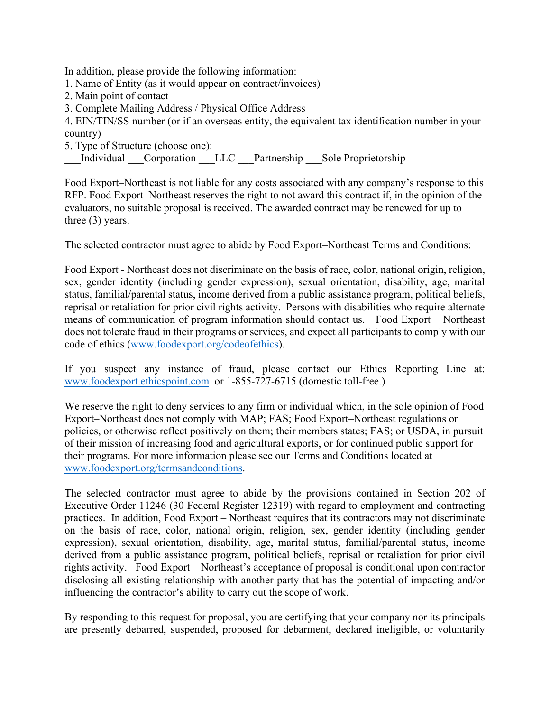In addition, please provide the following information:

- 1. Name of Entity (as it would appear on contract/invoices)
- 2. Main point of contact
- 3. Complete Mailing Address / Physical Office Address
- 4. EIN/TIN/SS number (or if an overseas entity, the equivalent tax identification number in your country)
- 5. Type of Structure (choose one):

Individual Corporation LLC Partnership Sole Proprietorship

Food Export–Northeast is not liable for any costs associated with any company's response to this RFP. Food Export–Northeast reserves the right to not award this contract if, in the opinion of the evaluators, no suitable proposal is received. The awarded contract may be renewed for up to three (3) years.

The selected contractor must agree to abide by Food Export–Northeast Terms and Conditions:

Food Export - Northeast does not discriminate on the basis of race, color, national origin, religion, sex, gender identity (including gender expression), sexual orientation, disability, age, marital status, familial/parental status, income derived from a public assistance program, political beliefs, reprisal or retaliation for prior civil rights activity. Persons with disabilities who require alternate means of communication of program information should contact us. Food Export – Northeast does not tolerate fraud in their programs or services, and expect all participants to comply with our code of ethics [\(www.foodexport.org/codeofethics\)](http://www.foodexport.org/codeofethics).

If you suspect any instance of fraud, please contact our Ethics Reporting Line at: [www.foodexport.ethicspoint.com](http://www.foodexport.ethicspoint.com/) or 1-855-727-6715 (domestic toll-free.)

We reserve the right to deny services to any firm or individual which, in the sole opinion of Food Export–Northeast does not comply with MAP; FAS; Food Export–Northeast regulations or policies, or otherwise reflect positively on them; their members states; FAS; or USDA, in pursuit of their mission of increasing food and agricultural exports, or for continued public support for their programs. For more information please see our Terms and Conditions located at www.foodexport.org/termsandconditions.

The selected contractor must agree to abide by the provisions contained in Section 202 of Executive Order 11246 (30 Federal Register 12319) with regard to employment and contracting practices. In addition, Food Export – Northeast requires that its contractors may not discriminate on the basis of race, color, national origin, religion, sex, gender identity (including gender expression), sexual orientation, disability, age, marital status, familial/parental status, income derived from a public assistance program, political beliefs, reprisal or retaliation for prior civil rights activity. Food Export – Northeast's acceptance of proposal is conditional upon contractor disclosing all existing relationship with another party that has the potential of impacting and/or influencing the contractor's ability to carry out the scope of work.

By responding to this request for proposal, you are certifying that your company nor its principals are presently debarred, suspended, proposed for debarment, declared ineligible, or voluntarily